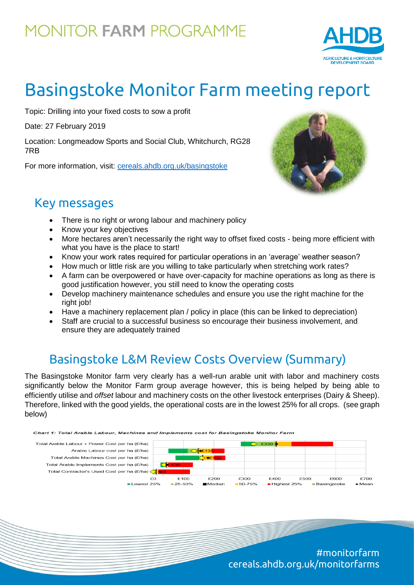## **MONITOR FARM PROGRAMME**



# Basingstoke Monitor Farm meeting report

Topic: Drilling into your fixed costs to sow a profit

Date: 27 February 2019

Location: Longmeadow Sports and Social Club, Whitchurch, RG28 7RB

For more information, visit: [cereals.ahdb.org.uk/b](https://cereals.ahdb.org.uk/get-involved/monitorfarms/saltburn-monitor-farm.aspx)asingstoke



#### Key messages

- There is no right or wrong labour and machinery policy
- Know your key objectives
- More hectares aren't necessarily the right way to offset fixed costs being more efficient with what you have is the place to start!
- Know your work rates required for particular operations in an 'average' weather season?
- How much or little risk are you willing to take particularly when stretching work rates?
- A farm can be overpowered or have over-capacity for machine operations as long as there is good justification however, you still need to know the operating costs
- Develop machinery maintenance schedules and ensure you use the right machine for the right job!
- Have a machinery replacement plan / policy in place (this can be linked to depreciation)
- Staff are crucial to a successful business so encourage their business involvement, and ensure they are adequately trained

### Basingstoke L&M Review Costs Overview (Summary)

The Basingstoke Monitor farm very clearly has a well-run arable unit with labor and machinery costs significantly below the Monitor Farm group average however, this is being helped by being able to efficiently utilise and *offset* labour and machinery costs on the other livestock enterprises (Dairy & Sheep). Therefore, linked with the good yields, the operational costs are in the lowest 25% for all crops. (see graph below)



#monitorfarm cereals.ahdb.org.uk/monitorfarms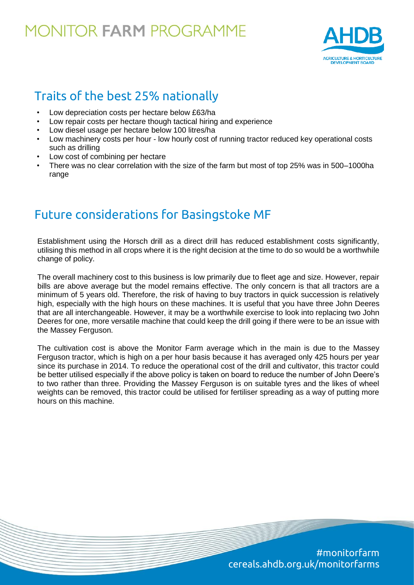### **MONITOR FARM PROGRAMME**



#### Traits of the best 25% nationally

- Low depreciation costs per hectare below £63/ha
- Low repair costs per hectare though tactical hiring and experience
- Low diesel usage per hectare below 100 litres/ha
- Low machinery costs per hour low hourly cost of running tractor reduced key operational costs such as drilling
- Low cost of combining per hectare
- There was no clear correlation with the size of the farm but most of top 25% was in 500–1000ha range

#### Future considerations for Basingstoke MF

Establishment using the Horsch drill as a direct drill has reduced establishment costs significantly, utilising this method in all crops where it is the right decision at the time to do so would be a worthwhile change of policy.

The overall machinery cost to this business is low primarily due to fleet age and size. However, repair bills are above average but the model remains effective. The only concern is that all tractors are a minimum of 5 years old. Therefore, the risk of having to buy tractors in quick succession is relatively high, especially with the high hours on these machines. It is useful that you have three John Deeres that are all interchangeable. However, it may be a worthwhile exercise to look into replacing two John Deeres for one, more versatile machine that could keep the drill going if there were to be an issue with the Massey Ferguson.

The cultivation cost is above the Monitor Farm average which in the main is due to the Massey Ferguson tractor, which is high on a per hour basis because it has averaged only 425 hours per year since its purchase in 2014. To reduce the operational cost of the drill and cultivator, this tractor could be better utilised especially if the above policy is taken on board to reduce the number of John Deere's to two rather than three. Providing the Massey Ferguson is on suitable tyres and the likes of wheel weights can be removed, this tractor could be utilised for fertiliser spreading as a way of putting more hours on this machine.

> #monitorfarm cereals.ahdb.org.uk/monitorfarms